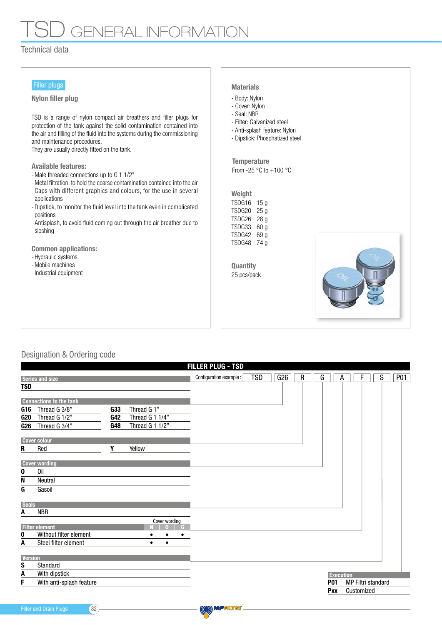# **GENERAL INFORMATI**

## Technical data

| Filler plugs |  |
|--------------|--|
|              |  |

#### Nylon filler plug

TSD is a range of nylon compact air breathers and filler plugs for protection of the tank against the solid contamination contained into the air and filling of the fluid into the systems during the commissioning and maintenance procedures.

They are usually directly fitted on the tank.

#### Available features:

- Male threaded connections up to G 1 1/2"
- Metal filtration, to hold the coarse contamination contained into the air
- Caps with different graphics and colours, for the use in several applications
- Dipstick, to monitor the fluid level into the tank even in complicated positions
- Antisplash, to avoid fluid coming out through the air breather due to sloshing

Common applications:

- Hydraulic systems
- Mobile machines
- Industrial equipment

### Materials

- Body: Nylon
- Cover: Nylon
- Seal: NBR
- Filter: Galvanized steel
- Anti-splash feature: Nylon
- Dipstick: Phosphatized steel

From -25  $\degree$ C to +100  $\degree$ C **Temperature** 

| Weight |      |
|--------|------|
| TSDG16 | 15 a |
| TSDG20 | 25 g |
| TSDG26 | 28 a |
| TSDG33 | 60 a |
| TSDG42 | 69 a |
| TSDG48 | 74 a |

25 pcs/pack **Quantity** 



## Designation & Ordering code

|                | <b>FILLER PLUG - TSD</b>                        |            |                 |           |               |  |                         |            |  |     |  |  |                         |  |   |            |                  |  |                           |   |  |            |
|----------------|-------------------------------------------------|------------|-----------------|-----------|---------------|--|-------------------------|------------|--|-----|--|--|-------------------------|--|---|------------|------------------|--|---------------------------|---|--|------------|
|                | <b>Series and size</b>                          |            |                 |           |               |  | Configuration example : | <b>TSD</b> |  | G26 |  |  | $\overline{\mathsf{R}}$ |  | G |            | А                |  |                           | S |  | <b>P01</b> |
| <b>TSD</b>     |                                                 |            |                 |           |               |  |                         |            |  |     |  |  |                         |  |   |            |                  |  |                           |   |  |            |
|                |                                                 |            |                 |           |               |  |                         |            |  |     |  |  |                         |  |   |            |                  |  |                           |   |  |            |
| G16            | <b>Connections to the tank</b><br>Thread G 3/8" | <b>G33</b> | Thread G 1"     |           |               |  |                         |            |  |     |  |  |                         |  |   |            |                  |  |                           |   |  |            |
| G20            | Thread G 1/2"                                   | <b>G42</b> | Thread G 1 1/4" |           |               |  |                         |            |  |     |  |  |                         |  |   |            |                  |  |                           |   |  |            |
| <b>G26</b>     | Thread G 3/4"                                   | G48        | Thread G 1 1/2" |           |               |  |                         |            |  |     |  |  |                         |  |   |            |                  |  |                           |   |  |            |
|                |                                                 |            |                 |           |               |  |                         |            |  |     |  |  |                         |  |   |            |                  |  |                           |   |  |            |
|                | <b>Cover colour</b>                             |            |                 |           |               |  |                         |            |  |     |  |  |                         |  |   |            |                  |  |                           |   |  |            |
| R              | Red                                             | Υ          | Yellow          |           |               |  |                         |            |  |     |  |  |                         |  |   |            |                  |  |                           |   |  |            |
|                | <b>Cover wording</b>                            |            |                 |           |               |  |                         |            |  |     |  |  |                         |  |   |            |                  |  |                           |   |  |            |
| 0              | Oil                                             |            |                 |           |               |  |                         |            |  |     |  |  |                         |  |   |            |                  |  |                           |   |  |            |
| N              | <b>Neutral</b>                                  |            |                 |           |               |  |                         |            |  |     |  |  |                         |  |   |            |                  |  |                           |   |  |            |
| G              | Gasoil                                          |            |                 |           |               |  |                         |            |  |     |  |  |                         |  |   |            |                  |  |                           |   |  |            |
|                |                                                 |            |                 |           |               |  |                         |            |  |     |  |  |                         |  |   |            |                  |  |                           |   |  |            |
| <b>Seals</b>   | <b>NBR</b>                                      |            |                 |           |               |  |                         |            |  |     |  |  |                         |  |   |            |                  |  |                           |   |  |            |
| A              |                                                 |            |                 |           | Cover wording |  |                         |            |  |     |  |  |                         |  |   |            |                  |  |                           |   |  |            |
|                | <b>Filter element</b>                           |            |                 |           |               |  |                         |            |  |     |  |  |                         |  |   |            |                  |  |                           |   |  |            |
| 0              | Without filter element                          |            |                 |           |               |  |                         |            |  |     |  |  |                         |  |   |            |                  |  |                           |   |  |            |
| A              | Steel filter element                            |            |                 | $\bullet$ | $\bullet$     |  |                         |            |  |     |  |  |                         |  |   |            |                  |  |                           |   |  |            |
| <b>Version</b> |                                                 |            |                 |           |               |  |                         |            |  |     |  |  |                         |  |   |            |                  |  |                           |   |  |            |
| S              | Standard                                        |            |                 |           |               |  |                         |            |  |     |  |  |                         |  |   |            |                  |  |                           |   |  |            |
| A              | With dipstick                                   |            |                 |           |               |  |                         |            |  |     |  |  |                         |  |   |            | <b>Execution</b> |  |                           |   |  |            |
| F              | With anti-splash feature                        |            |                 |           |               |  |                         |            |  |     |  |  |                         |  |   | <b>P01</b> |                  |  | <b>MP Filtri standard</b> |   |  |            |
|                |                                                 |            |                 |           |               |  |                         |            |  |     |  |  |                         |  |   | Pxx        |                  |  | Customized                |   |  |            |
|                |                                                 |            |                 |           |               |  |                         |            |  |     |  |  |                         |  |   |            |                  |  |                           |   |  |            |